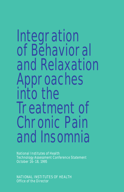# Integration of Behavioral and Relaxation Approaches into the Treatment of Chronic Pain and Insomnia

National Institutes of Health Technology Assessment Conference Statement October 16–18, 1995

NATIONAL INSTITUTES OF HEALTH Office of the Director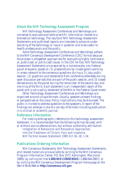# **About the NIH Technology Assessment Program**

*NIH Technology Assessment Conferences and Workshops are convened to evaluate available scientific information related to a biomedical technology. The resultant NIH Technology Assessment Statements and published reports are intended to advance understanding of the technology or issue in question and to be useful to health professionals and the public.* 

*Some Technology Assessment Conferences and Workshops adhere to the NIH Consensus Development Conference (CDC) format because the process is altogether appropriate for evaluating highly controversial, publicized, or politicized issues. In the CDC format, NIH Technology Assessment Statements are prepared by a nonadvocate, non-Federal panel of experts, based on (1) presentations by investigators working in areas relevant to the consensus questions during a 11 /2 day public session, (2) questions and statements from conference attendees during open discussion periods that are part of the public session, and (3) closed deliberations by the panel during the remainder of the second day and morning of the third. Each statement is an independent report of the panel and is not a policy statement of the NIH or the Federal Government.* 

*Other Technology Assessment Conferences and Workshops are organized around unique formats. Usually, speakers present findings or perspectives on the issue. Policy implications may be discussed. The public is invited to address questions to the speakers. A report of the findings can emerge in one of a variety of formats including publication in a clinical or scientific journal.* 

# **Reference Information**

*For making bibliographic reference to this technology assessment statement, it is recommended that the following format be used, with or without source abbreviations, but without authorship attribution:*  Integration of Behavioral and Relaxation Approaches into the Treatment of Chronic Pain and Insomnia. NIH Technol Assess Statement 1995 Oct 16–18; 1-34.

# **Publications Ordering Information**

*NIH Consensus Statements, NIH Technology Assessment Statements, and related materials are available by writing to the NIH Consensus Program Information Center, P.O. Box 2577, Kensington, Maryland 20891; by calling toll free 1-888-NIH-CONSENSUS (1-888-644-2667); or by visiting the NIH Consensus Development Program home page on the World Wide Web at http://consensus.nih.gov.*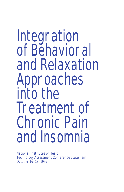# Integration of Behavioral and Relaxation Approaches into the Treatment of Chronic Pain and Insomnia

National Institutes of Health Technology Assessment Conference Statement October 16–18, 1995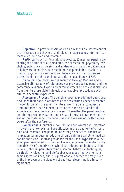# *Abstract*

**Objective.** To provide physicians with a responsible assessment of the integration of behavioral and relaxation approaches into the treatment of chronic pain and insomnia.

**Participants.** A non-Federal, nonadvocate, 12-member panel representing the fields of family medicine, social medicine, psychiatry, psychology, public health, nursing, and epidemiology. In addition, 23 experts in behavioral medicine, pain medicine, sleep medicine, psychiatry, nursing, psychology, neurology, and behavioral and neurosciences presented data to the panel and a conference audience of 528.

**Evidence.** The literature was searched through Medline and an extensive bibliography of references was provided to the panel and the conference audience. Experts prepared abstracts with relevant citations from the literature. Scientific evidence was given precedence over clinical anecdotal experience.

**Assessment Process.** The panel, answering predefined questions, developed their conclusions based on the scientific evidence presented in open forum and the scientific literature. The panel composed a draft statement that was read in its entirety and circulated to the experts and the audience for comment. Thereafter, the panel resolved conflicting recommendations and released a revised statement at the end of the conference. The panel finalized the revisions within a few weeks after the conference.

**Conclusions.** A number of well-defined behavioral and relaxation interventions now exist and are effective in the treatment of chronic pain and insomnia. The panel found strong evidence for the use of relaxation techniques in reducing chronic pain in a variety of medical conditions as well as strong evidence for the use of hypnosis in alleviating pain associated with cancer. The evidence was moderate for the effectiveness of cognitive-behavioral techniques and biofeedback in relieving chronic pain. Regarding insomnia, behavioral techniques, particularly relaxation and biofeedback, produce improvements in some aspects of sleep, but it is questionable whether the magnitude of the improvement in sleep onset and total sleep time is clinically significant.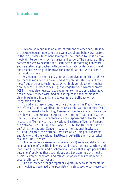# *Introduction*

Chronic pain and insomnia afflict millions of Americans. Despite the acknowledged importance of psychosocial and behavioral factors in these disorders, treatment strategies have tended to focus on biomedical interventions such as drugs and surgery. The purpose of this conference was to examine the usefulness of integrating behavioral and relaxation approaches with biomedical interventions in clinical and research settings to improve the care of patients with chronic pain and insomnia.

Assessments of more consistent and effective integration of these approaches required the development of precise definitions of the most frequently used techniques, which include relaxation, meditation, hypnosis, biofeedback (BF), and cognitive-behavioral therapy (CBT). It was also necessary to examine how these approaches have been previously used with medical therapies in the treatment of chronic pain and insomnia and to evaluate the efficacy of such integration to date.

To address these issues, the Office of Alternative Medicine and the Office of Medical Applications of Research, National Institutes of Health, convened a Technology Assessment Conference on Integration of Behavioral and Relaxation Approaches into the Treatment of Chronic Pain and Insomnia. The conference was cosponsored by the National Institute of Mental Health, the National Institute of Dental Research, the National Heart, Lung, and Blood Institute, the National Institute on Aging, the National Cancer Institute, the National Institute of Nursing Research, the National Institute of Neurological Disorders and Stroke, and the National Institute of Arthritis and Musculoskeletal and Skin Diseases.

This technology assessment conference (1) reviewed data on the relative merits of specific behavioral and relaxation interventions and identified biophysical and psychological factors that might predict the outcome of applying these techniques and (2) examined the mechanisms by which behavioral and relaxation approaches could lead to greater clinical effectiveness.

The conference brought together experts in behavioral medicine, pain medicine, sleep medicine, psychiatry, nursing, psychology, neurology,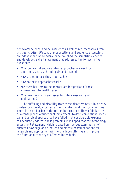behavioral science, and neuroscience as well as representatives from the public. After 11 /2 days of presentations and audience discussion, an independent, non-Federal panel weighed the scientific evidence and developed a draft statement that addressed the following five questions:

- What behavioral and relaxation approaches are used for conditions such as chronic pain and insomnia?
- How successful are these approaches?
- How do these approaches work?
- Are there barriers to the appropriate integration of these approaches into health care?
- What are the significant issues for future research and applications?

The suffering and disability from these disorders result in a heavy burden for individual patients, their families, and their communities. There is also a burden to the Nation in terms of billions of dollars lost as a consequence of functional impairment. To date, conventional medical and surgical approaches have failed— at considerable expense to adequately address these problems. It is hoped that this technology assessment statement, which is based on rigorous examination of current knowledge and practice and makes recommendations for research and application, will help reduce suffering and improve the functional capacity of affected individuals.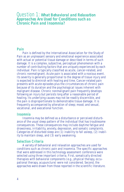# Question 1: *What Behavioral and Relaxation Approaches Are Used for Conditions such as Chronic Pain and Insomnia?*

# **Pain**

Pain is defined by the International Association for the Study of Pain as an unpleasant sensory and emotional experience associated with actual or potential tissue damage or described in terms of such damage. It is a complex, subjective, perceptual phenomenon with a number of contributing factors that are uniquely experienced by each individual. Pain is typically classified as acute, cancer-related, and chronic nonmalignant. Acute pain is associated with a noxious event. Its severity is generally proportional to the degree of tissue injury and is expected to diminish with healing and time. Cancer-related pain presents with acute episodes plus the circumstances of chronic pain because of its duration and the psychological issues inherent with malignant disease. Chronic nonmalignant pain frequently develops following an injury but persists long after a reasonable period of healing. Its underlying causes may not be readily discernible, and the pain is disproportionate to demonstrable tissue damage. It is frequently accompanied by alteration of sleep; mood; and sexual, vocational, and avocational function.

## **Insomnia**

Insomnia may be defined as a disturbance or perceived disturbance of the usual sleep pattern of the individual that has troublesome consequences. These consequences may include daytime fatigue and drowsiness, irritability, anxiety, depression, and somatic complaints. Categories of disturbed sleep are (1) inability to fall asleep, (2) inability to maintain sleep, and (3) early awakening.

## **Selection Criteria**

A variety of behavioral and relaxation approaches are used for conditions such as chronic pain and insomnia. The specific approaches that were addressed in this technology assessment conference were selected using three important criteria. First, somatically directed therapies with behavioral components (e.g., physical therapy, occupational therapy, acupuncture) were not considered. Second, the approaches were drawn from those reported in the scientific literature.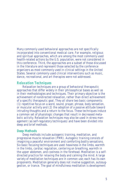Many commonly used behavioral approaches are not specifically incorporated into conventional medical care. For example, religious and spiritual approaches, which are among the most commonly used health-related actions by the U.S. population, were not considered in this conference. Third, the approaches are a subset of those discussed in the literature and represent those selected by the conference organizers as most commonly used in clinical settings in the United States. Several commonly used clinical interventions such as music, dance, recreational, and art therapies were not addressed.

# **Relaxation Techniques**

Relaxation techniques are a group of behavioral therapeutic approaches that differ widely in their philosophical bases as well as in their methodologies and techniques. Their primary objective is the achievement of nondirected relaxation, rather than direct achievement of a specific therapeutic goal. They all share two basic components: (1) repetitive focus on a word, sound, prayer, phrase, body sensation, or muscular activity and (2) the adoption of a passive attitude toward intruding thoughts and a return to the focus. These techniques induce a common set of physiologic changes that result in decreased metabolic activity. Relaxation techniques may also be used in stress management (as self-regulatory techniques) and have been divided into deep and brief methods.

## *Deep Methods*

Deep methods include autogenic training, meditation, and progressive muscle relaxation (PMR). Autogenic training consists of imagining a peaceful environment and comforting bodily sensations. Six basic focusing techniques are used: heaviness in the limbs, warmth in the limbs, cardiac regulation, centering on breathing, warmth in the upper abdomen, and coolness in the forehead. Meditation is a selfdirected practice for relaxing the body and calming the mind. A large variety of meditation techniques are in common use; each has its own proponents. Meditation generally does not involve suggestion, autosuggestion, or trance. The goal of mindfulness meditation is development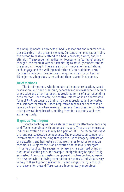of a nonjudgmental awareness of bodily sensations and mental activities occurring in the present moment. Concentration meditation trains the person to passively attend to a bodily process, a word, and/or a stimulus. Transcendental meditation focuses on a "suitable" sound or thought (the mantra) without attempting to actually concentrate on the sound or thought. There are also many movement meditations, such as yoga and the walking meditation of Zen Buddhism. PMR focuses on reducing muscle tone in major muscle groups. Each of 15 major muscle groups is tensed and then relaxed in sequence.

## *Brief Methods*

The brief methods, which include self-control relaxation, paced respiration, and deep breathing, generally require less time to acquire or practice and often represent abbreviated forms of a corresponding deep method. For example, self-control relaxation is an abbreviated form of PMR. Autogenic training may be abbreviated and converted to a self-control format. Paced respiration teaches patients to maintain slow breathing when anxiety threatens. Deep breathing involves taking several deep breaths, holding them for 5 seconds, and then exhaling slowly.

## **Hypnotic Techniques**

Hypnotic techniques induce states of selective attentional focusing or diffusion combined with enhanced imagery. They are often used to induce relaxation and also may be a part of CBT. The techniques have pre- and postsuggestion components. The presuggestion component involves attentional focusing through the use of imagery, distraction, or relaxation, and has features that are similar to other relaxation techniques. Subjects focus on relaxation and passively disregard intrusive thoughts. The suggestion phase is characterized by introduction of specific goals; for example, analgesia may be specifically suggested. The postsuggestion component involves continued use of the new behavior following termination of hypnosis. Individuals vary widely in their hypnotic susceptibility and suggestibility, although the reasons for these differences are incompletely understood.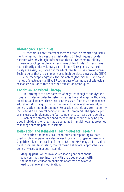# **Biofeedback Techniques**

BF techniques are treatment methods that use monitoring instruments of various degrees of sophistication. BF techniques provide patients with physiologic information that allows them to reliably influence psychophysiological responses of two kinds: (1) responses not ordinarily under voluntary control and (2) responses that ordinarily are easily regulated but for which regulation has broken down. Technologies that are commonly used include electromyography (EMG BF), electroencephalography, thermometers (thermal BF), and galvanometry (electrodermal BF). BF techniques often induce physiological responses similar to those of other relaxation techniques.

# **Cognitive-Behavioral Therapy**

CBT attempts to alter patterns of negative thoughts and dysfunctional attitudes in order to foster more healthy and adaptive thoughts, emotions, and actions. These interventions share four basic components: education, skills acquisition, cognitive and behavioral rehearsal, and generalization and maintenance. Relaxation techniques are frequently included as a behavioral component in CBT programs. The specific programs used to implement the four components can vary considerably.

Each of the aforementioned therapeutic modalities may be practiced individually, or they may be combined in multimodal approaches to manage chronic pain or insomnia.

# **Relaxation and Behavioral Techniques for Insomnia**

Relaxation and behavioral techniques corresponding to those used for chronic pain may also be used for specific types of insomnia. Cognitive relaxation, various forms of BF, and PMR may all be used to treat insomnia. In addition, the following behavioral approaches are generally used to manage insomnia:

**Sleep hygiene**, which involves educating patients about behaviors that may interfere with the sleep process, with the hope that education about maladaptive behaviors will lead to behavioral modification.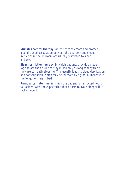**Stimulus control therapy**, which seeks to create and protect a conditioned association between the bedroom and sleep. Activities in the bedroom are usually restricted to sleep and sex.

**Sleep restriction therapy**, in which patients provide a sleep log and are then asked to stay in bed only as long as they think they are currently sleeping. This usually leads to sleep deprivation and consolidation, which may be followed by a gradual increase in the length of time in bed.

**Paradoxical intention**, in which the patient is instructed not to fall asleep, with the expectation that efforts to avoid sleep will in fact induce it.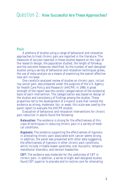# **Pain**

A plethora of studies using a range of behavioral and relaxation approaches to treat chronic pain are reported in the literature. The measures of success reported in these studies depend on the rigor of the research design, the population studied, the length of followup, and the outcome measures identified. As the number of well-designed studies using a variety of behavioral and relaxation techniques grows, the use of meta-analysis as a means of examining the overall effectiveness will increase.

One carefully analyzed review of studies on chronic pain, including cancer pain, was prepared under the auspices of the U.S. Agency for Health Care Policy and Research (AHCPR) in 1990. A great strength of the report was the careful categorization of the evidential basis of each intervention. The categorization was based on design of the studies and consistency of findings among the studies. These properties led to the development of a 4-point scale that ranked the evidence as strong, moderate, fair, or weak; this scale was used by the panel report to evaluate the AHCPR studies.

Evaluation of behavioral and relaxation interventions for chronic pain reduction in adults found the following:

**Relaxation:** The evidence is strong for the effectiveness of this class of techniques in reducing chronic pain in a variety of medical conditions.

**Hypnosis:** The evidence supporting the effectiveness of hypnosis in alleviating chronic pain associated with cancer seems strong. In addition, the panel was presented with other data suggesting the effectiveness of hypnosis in other chronic pain conditions, which include irritable bowel syndrome, oral mucositis, temporomandibular disorders, and tension headaches.

**CBT:** The evidence was moderate for the usefulness of CBT in chronic pain. In addition, a series of eight well-designed studies found CBT superior to placebo and to routine care for alleviating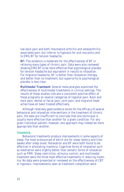low back pain and both rheumatoid arthritis and osteoarthritisassociated pain, but inferior to hypnosis for oral mucositis and to EMG BF for tension headache.

**BF:** The evidence is moderate for the effectiveness of BF in relieving many types of chronic pain. Data were also reviewed showing EMG BF to be more effective than psychological placebo for tension headache but equivalent in results to relaxation. For migraine headache, BF is better than relaxation therapy and better than no treatment, but superiority to psychological placebo is less clear.

**Multimodal Treatment:** Several meta-analyses examined the effectiveness of multimodal treatments in clinical settings. The results of these studies indicate a consistent positive effect of these programs on several categories of regional pain. Back and neck pain, dental or facial pain, joint pain, and migraine headaches have all been treated effectively.

Although relatively good evidence exists for the efficacy of several behavioral and relaxation interventions in the treatment of chronic pain, the data are insufficient to conclude that one technique is usually more effective than another for a given condition. For any given individual patient, however, one approach may indeed be more appropriate than another.

## **Insomnia**

Behavioral treatments produce improvements in some aspects of sleep, the most pronounced of which are for sleep latency and time awake after sleep onset. Relaxation and BF were both found to be effective in alleviating insomnia. Cognitive forms of relaxation such as meditation were slightly better than somatic forms of relaxation such as PMR. Sleep restriction, stimulus control, and multimodal treatment were the three most effective treatments in reducing insomnia. No data were presented or reviewed on the effectiveness of CBT or hypnosis. Improvements seen at treatment completion were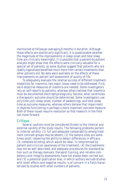maintained at followups averaging 6 months in duration. Although these effects are statistically significant, it is questionable whether the magnitude of the improvements in sleep onset and total sleep time are clinically meaningful. It is possible that a patient-by-patient analysis might show that the effects were clinically valuable for a special set of patients, as some studies suggest that patients who are readily hypnotized benefited much more from certain treatments than other patients did. No data were available on the effects of these improvements on patient self-assessment of quality of life.

To adequately evaluate the relative success of different treatment modalities for insomnia, two major issues need to be addressed. First, valid objective measures of insomnia are needed. Some investigators rely on self-reports by patients, whereas others believe that insomnia must be documented electrophysiologically. Second, what constitutes a therapeutic outcome should be determined. Some investigators use only time until sleep onset, number of awakenings, and total sleep time as outcome measures, whereas others believe that impairment in daytime functioning is perhaps a more important outcome measure. Both of these issues require resolution so that research in the field can move forward.

## **Critique**

Several cautions must be considered threats to the internal and external validity of the study results. The following problems pertain to internal validity: (1) full and adequate comparability among treatment contrast groups may be absent; (2) the sample sizes are sometimes small, lessening the ability to detect differences in efficacy; (3) complete blinding, which would be ideal, is compromised by patient and clinician awareness of the treatment; (4) the treatments may not be well described, and adequate procedures for standardization such as therapy manuals, therapist training, and reliable competency and integrity assessments have not always been carried out; and (5) a potential publication bias, in which authors exclude studies with small effects and negative results, is of concern in a field characterized by studies with small numbers of patients.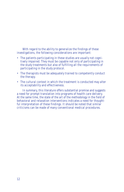With regard to the ability to generalize the findings of these investigations, the following considerations are important:

- The patients participating in these studies are usually not cognitively impaired. They must be capable not only of participating in the study treatments but also of fulfilling all the requirements of participating in the study protocol.
- The therapists must be adequately trained to competently conduct the therapy.
- The cultural context in which the treatment is conducted may alter its acceptability and effectiveness.

In summary, this literature offers substantial promise and suggests a need for prompt translation into programs of health care delivery. At the same time, the state of the art of the methodology in the field of behavioral and relaxation interventions indicates a need for thoughtful interpretation of these findings. It should be noted that similar criticisms can be made of many conventional medical procedures.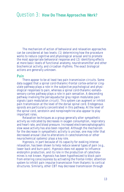The mechanism of action of behavioral and relaxation approaches can be considered at two levels: (1) determining how the procedure works to reduce cognitive and physiological arousal and to promote the most appropriate behavioral response and (2) identifying effects at more basic levels of functional anatomy, neurotransmitter and other biochemical activity, and circadian rhythms. The exact biological actions are generally unknown.

## **Pain**

There appear to be at least two pain transmission circuits. Some data suggest that a spinal cord-thalamic-frontal cortex-anterior cingulate pathway plays a role in the subjective psychological and physiological responses to pain, whereas a spinal cord-thalamic-somatosensory cortex pathway plays a role in pain sensation. A descending pathway involving the periaquaductal gray region modulates pain signals (pain modulation circuit). This system can augment or inhibit pain transmission at the level of the dorsal spinal cord. Endogenous opioids are particularly concentrated in this pathway. At the level of the spinal cord, serotonin and norepinephrine also appear to play important roles.

Relaxation techniques as a group generally alter sympathetic activity as indicated by decreases in oxygen consumption, respiratory and heart rate, and blood pressure. Increased electroencephalographic slow wave activity has also been reported. Although the mechanism for the decrease in sympathetic activity is unclear, one may infer that decreased arousal (due to alterations in catecholamines or other neurochemical systems) plays a key role.

Hypnosis, in part because of its capacity for evoking intense relaxation, has been shown to help reduce several types of pain (e.g., lower back and burn pain). Hypnosis does not appear to influence endorphin production, and its role in the production of catecholamines is not known. Hypnosis has been hypothesized to block pain from entering consciousness by activating the frontal-limbic attention system to inhibit pain impulse transmission from thalamic to cortical structures. Similarly, other CBT may decrease transmission through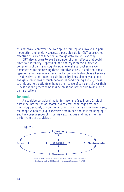this pathway. Moreover, the overlap in brain regions involved in pain modulation and anxiety suggests a possible role for CBT approaches affecting this area of function, although data are still evolving.

CBT also appears to exert a number of other effects that could alter pain intensity. Depression and anxiety increase subjective complaints of pain, and cognitive-behavioral approaches are well documented for decreasing these affective states. In addition, these types of techniques may alter expectation, which also plays a key role in subjective experiences of pain intensity. They also may augment analgesic responses through behavioral conditioning. Finally, these techniques help patients enhance their sense of self control over their illness enabling them to be less helpless and better able to deal with pain sensations.

## **Insomnia**

A cognitive-behavioral model for insomnia (see Figure 1) elucidates the interaction of insomnia with emotional, cognitive, and physiologic arousal; dysfunctional conditions, such as worry over sleep; maladaptive habits (e.g., excessive time in bed and daytime napping); and the consequences of insomnia (e.g., fatigue and impairment in performance of activities).



Morin CM (1993) Insomnia - The Guilford Press. Adapted from presentation by D.J. Buysse, M.D. at NIH Technology Assessment Conference 10-17-95.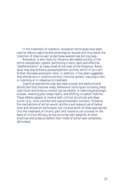In the treatment of insomnia, relaxation techniques have been used to reduce cognitive and physiological arousal and thus assist the induction of sleep as well as decrease awakenings during sleep.

Relaxation is also likely to influence decreased activity in the entire sympathetic system, permitting a more rapid and effective "deafferentation" at sleep onset at the level of the thalamus. Relaxation may also enhance parasympathetic activity, which in turn will further decrease autonomic tone. In addition, it has been suggested that alterations in cytokine activity (immune system) may play a role in insomnia or in response to treatment.

Cognitive approaches may decrease arousal and dysfunctional beliefs and thus improve sleep. Behavioral techniques including sleep restriction and stimulus control can be helpful in reducing physiologic arousal, reversing poor sleep habits, and shifting circadian rhythms. These effects appear to involve both cortical structures and deep nuclei (e.g., locus ceruleus and suprachiasmatic nucleus). Knowing the mechanisms of action would reinforce and expand use of behavioral and relaxation techniques, but incorporation of these approaches into the treatment of chronic pain and insomnia can proceed on the basis of clinical efficacy, as has occurred with adoption of other practices and products before their mode of action was completely delineated.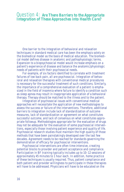# Question 4: *Are There Barriers to the Appropriate Integration of These Approaches into Health Care?*

One barrier to the integration of behavioral and relaxation techniques in standard medical care has been the emphasis solely on the biomedical model as the basis of medical education. The biomedical model defines disease in anatomic and pathophysiologic terms. Expansion to a biopsychosocial model would increase emphasis on a patient's experience of disease and balance the anatomic/physiologic needs of patients with their psychosocial needs.

For example, of six factors identified to correlate with treatment failures of low back pain, all are psychosocial. Integration of behavioral and relaxation therapies with conventional medical procedures is necessary for the successful treatment of such conditions. Similarly, the importance of a comprehensive evaluation of a patient is emphasized in the field of insomnia where failure to identify a condition such as sleep apnea may result in inappropriate application of a behavioral therapy. Therapy should be matched to the illness and to the patient.

Integration of psychosocial issues with conventional medical approaches will necessitate the application of new methodologies to assess the success or failure of the interventions. Therefore, additional barriers to integration include lack of standardization of outcome measures, lack of standardization or agreement on what constitutes successful outcome, and lack of consensus on what constitutes appropriate followup. Methodologies appropriate for the evaluation of drugs may not be adequate for the evaluation of some psychosocial interventions, especially those involving patient experience and quality of life. Psychosocial research studies must maintain the high quality of those methods that have been painstakingly developed over the last few decades. Agreement needs to be reached for standards governing the demonstration of efficacy for psychosocial interventions.

Psychosocial interventions are often time-intensive, creating potential blocks to provider and patient acceptance and compliance. Participation in BF training typically includes up to 10–12 sessions of approximately 45 minutes to 1 hour each. In addition, home practice of these techniques is usually required. Thus, patient compliance and both patient and provider willingness to participate in these therapies will have to be addressed. Physicians will have to be educated on the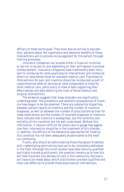efficacy of these techniques. They must also be willing to educate their patients about the importance and potential benefits of these interventions and to provide encouragement for the patient through training processes.

Insurance companies can provide either a financial incentive or barrier to access of care depending on their willingness to provide reimbursement. Insurance companies have traditionally been reluctant to reimburse for some psychosocial interventions and reimburse others at rates below those for standard medical care. Psychosocial interventions for pain and insomnia should be reimbursed as part of comprehensive medical services at rates comparable to those for other medical care, particularly in view of data supporting their effectiveness and data detailing the costs of failed medical and surgical interventions.

The evidence suggests that sleep disorders are significantly underdiagnosed. The prevalence and possible consequences of insomnia have begun to be documented. There are substantial disparities between patient reports of insomnia and the number of insomnia diagnoses, as well as between the number of prescriptions written for sleep medications and the number of recorded diagnoses of insomnia. Data indicate that insomnia is widespread, but the morbidity and mortality of this condition are not well understood. Without this information, it remains difficult for physicians to gauge how aggressive their intervention should be in the treatment of this disorder. In addition, the efficacy of the behavioral approaches for treating this condition has not been adequately disseminated to the medical community.

Finally, who should be administering these therapies? Problems with credentialing and training have yet to be completely addressed in the field. Although the initial studies have been done by qualified and highly trained practitioners, the question remains as to how this will best translate into delivery of care in the community. Decisions will have to be made about which practitioners are best qualified and most cost-effective to provide these psychosocial interventions.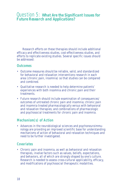# Question 5: *What Are the Significant Issues for Future Research and Applications?*

Research efforts on these therapies should include additional efficacy and effectiveness studies, cost-effectiveness studies, and efforts to replicate existing studies. Several specific issues should be addressed:

# **Outcomes**

- • Outcome measures should be reliable, valid, and standardized for behavioral and relaxation interventions research in each area (chronic pain, insomnia) so that studies can be compared and combined.
- • Qualitative research is needed to help determine patients' experiences with both insomnia and chronic pain and their treatments.
- Future research should include examination of consequences/ outcomes of untreated chronic pain and insomnia; chronic pain and insomnia treated pharmacologically versus with behavioral and relaxation therapies; and combinations of pharmacologic and psychosocial treatments for chronic pain and insomnia.

# **Mechanism(s) of Action**

• Advances in the neurobiological sciences and psychoneuroimmunology are providing an improved scientific base for understanding mechanisms of action of behavioral and relaxation techniques and need to be further investigated.

# **Covariates**

• Chronic pain and insomnia, as well as behavioral and relaxation therapies, involve factors such as values, beliefs, expectations, and behaviors, all of which are strongly shaped by one's culture. Research is needed to assess cross-cultural applicability, efficacy, and modifications of psychosocial therapeutic modalities.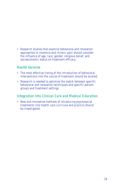• Research studies that examine behavioral and relaxation approaches to insomnia and chronic pain should consider the influence of age, race, gender, religious belief, and socioeconomic status on treatment efficacy.

# **Health Services**

- The most effective timing of the introduction of behavioral interventions into the course of treatment should be studied.
- Research is needed to optimize the match between specific behavioral and relaxation techniques and specific patient groups and treatment settings.

# **Integration Into Clinical Care and Medical Education**

• New and innovative methods of introducing psychosocial treatments into health care curricula and practice should be investigated.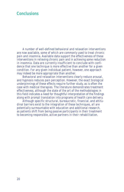# *Conclusions*

A number of well-defined behavioral and relaxation interventions are now available, some of which are commonly used to treat chronic pain and insomnia. Available data support the effectiveness of these interventions in relieving chronic pain and in achieving some reduction in insomnia. Data are currently insufficient to conclude with confidence that one technique is more effective than another for a given condition. For any given individual patient, however, one approach may indeed be more appropriate than another.

Behavioral and relaxation interventions clearly reduce arousal. and hypnosis reduces pain perception. However, the exact biological underpinnings of these effects require further study, as is often the case with medical therapies. The literature demonstrates treatment effectiveness, although the state of the art of the methodologies in this field indicates a need for thoughtful interpretation of the findings along with prompt translation into programs of health care delivery.

Although specific structural, bureaucratic, financial, and attitudinal barriers exist to the integration of these techniques, all are potentially surmountable with education and additional research, as patients shift from being passive participants in their treatment to becoming responsible, active partners in their rehabilitation.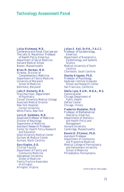# *Technology Assessment Panel*

#### **Julius Richmond, M.D.**

*Conference and Panel Chairperson The John D. MacArthur Professor of Health Policy Emeritus*  Department of Social Medicine Harvard Medical School Boston, Massachusetts

**Brian M. Berman, M.D.**  *Director, Division of Complementary Medicine*  Department of Family Medicine University of Maryland School of Medicine Baltimore, Maryland

**John P. Docherty, M.D.**  *Vice Chairman, Department of Psychiatry*  Cornell University Medical College Associate Medical Director New York Hospital/ Cornell University White Plains, New York

**Larry B. Goldstein, M.D.**  *Associate Professor of Medicine*  Division of Neurology Department of Medicine *Assistant Research Professor*  Center for Health Policy Research and Education Duke University Medical Center Durham VA Medical Center Durham, North Carolina

**Gary Kaplan, D.O.**  *Clinical Faculty*  Department of Family and Community Medicine Georgetown University School of Medicine Family Practice Associates of Arlington Arlington, Virginia

#### **Julian E. Keil, Dr.P.H., F.A.C.C.**  *Professor of Epidemiology, Emeritus*  Department of Biostatistics, Epidemiology, and Systems **Science** Medical University of South Carolina Charleston, South Carolina

**Stanley Krippner, Ph.D.**  *Professor of Psychology*  Saybrook Institute Graduate School and Research Center San Francisco, California

**Sheila Lyne, R.S.M., M.B.A., M.S.**  *Commissioner*  Chicago Department of Public Health DePaul Center Chicago, Illinois

**Frederick Mosteller, Ph.D.**  *Professor of Mathematical Statistics, Emeritus*  Departments of Statistics and Health Policy and Management Harvard University Cambridge, Massachusetts

**Bonnie B. O'Connor, Ph.D.**  *Assistant Professor*  Department of Community and Preventive Medicine Medical College of Pennsylvania and Hahnemann University School of Medicine Philadelphia, Pennsylvania

*(continued on next page)*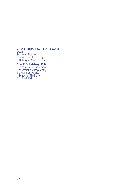**Ellen B. Rudy, Ph.D., R.N., F.A.A.N**  *Dean*  School of Nursing University of Pittsburgh Pittsburgh, Pennsylvania

**Alan F. Schatzberg, M.D.**  *Professor and Chairman*  Department of Psychiatry Stanford University School of Medicine Stanford, California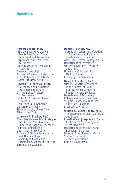# *Speakers*

#### **Herbert Benson, M.D.**

"The Common Physiological Events That Occur When Behavioral and Relaxation Approaches Are Practiced by Patients" *Chief, Division of Behavioral Medicine*  Deaconess Hospital *Associate Professor of Medicine*  Mind/Body Medical Institute Boston, Massachusetts

#### **Edward B. Blanchard, Ph.D.**

"Biofeedback and its Role in the Treatment of Pain" *Distinguished Professor of Psychology*  Center for Stress and Anxiety Disorders Department of Psychology University of Albany State University of New York Albany, New York

#### **Laurence A. Bradley, Ph.D.**

"Cognitive Intervention Strategies for Chronic Pain: Assumptions Underlying Cognitive Therapy" *Professor of Medicine*  Department of Medicine Division of Clinical Immunology and Rheumatology University of Alabama at Birmingham School of Medicine Birmingham, Alabama

#### **Daniel J. Buysse, M.D.**

"Potential Mechanisms of Action of Behavioral and Relaxation Treatments in Insomnia" *Associate Professor of Psychiatry*  Department of Psychiatry Western Psychiatric Institute and Clinic University of Pittsburgh Medical Center Pittsburgh, Pennsylvania

#### **Helen J. Crawford, Ph.D.**

"Use of Hypnotic Techniques in the Control of Pain: Neuropsychophysiological Foundation and Evidence" Department of Psychology College of Arts and Sciences Virginia Polytechnic Institute and State University Blacksburg, Virginia

**William C. Dement, M.D., Ph.D.**  "The Insomnia Problem: Definitions and Scope' *Lowell W. and Josephine Q. Berry Professor of Psychiatry and Sleep Medicine*  Department of Psychiatry and Behavioral Sciences *Director, Sleep Research Center*  Stanford University School of Medicine Palo Alto, California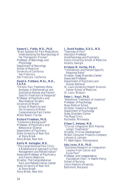#### **Howard L. Fields, M.D., Ph.D.**

"Brain Systems for Pain Modulation: Understanding the Neurobiology of the Therapeutic Process" *Professor of Neurology and Physiology*  Department of Neurology School of Medicine University of California San Francisco San Francisco, California

#### **David A. Fishbain, M.Sc., M.D., F.A.P.A.**

"Chronic Pain Treatment Meta-Analyses: A Mathematical and Qualitative Review and Patient-Specific Predictors of Response" *Professor of Psychiatry and Neurological Surgery*  University of Miami School of Medicine and the University of Miami Comprehensive Pain Center Miami Beach, Florida

## **Richard Friedman, Ph.D.**

"Conference Background" *Professor of Psychiatry and Behavioral Science*  Department of Psychiatry State University of New York at Stony Brook Stony Brook, New York

**Rollin M. Gallagher, M.D.**  "The Comprehensive Pain Clinic: A Biobehavioral Approach to Pain Management and Rehabilitation" *Associate Professor of Psychiatry and Family Medicine Director, The Comprehensive Pain and Rehabilitation Center*  State University of New York at Stony Brook Stony Brook, New York

**J. David Haddox, D.D.S., M.D.**  "Overview of Pain" *Assistant Professor*  Anesthesiology and Psychiatry Emory University School of Medicine Atlanta, Georgia

**Kristyna M. Hartse, Ph.D.**  "Intervention and Patient-Specific Response Rates" *Director, Sleep Disorders Center Associate Professor*  Department of Psychiatry and Human Behavior St. Louis University Health Sciences Center School of Medicine St. Louis, Missouri

**Peter J. Hauri, Ph.D.**  "Behavioral Treatment of Insomnia" *Professor of Psychology*  Mayo Medical School *Director, Insomnia Program*  Department of Psychology Sleep Disorders Center The Mayo Clinic Rochester, Minnesota

**Eileen C. Helzner, M.D.**  "Clinical Integration With Pharmacologic Treatments" *Director, Clinical Development*  McNeil Consumer Products Company Johnson & Johnson Ft. Washington, Pennsylvania

**Ada Jacox, R.N., Ph.D.**  "Outcomes Research on Integration: Lessons From Cancer and Acute Pain" *Professor and Independence Foundation Chair in Health Policy*  School of Nursing Johns Hopkins University Baltimore, Maryland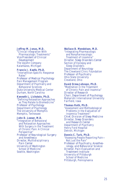#### **Jeffrey M. Jonas, M.D.**

"Clinical Integration With Pharmacologic Treatments" *Vice President of Clinical Development*  The Upjohn Company Kalamazoo, Michigan

**Francis J. Keefe, Ph.D.**  "Intervention-Specific Response Rates" *Professor of Medical Psychology*  Pain Management Program Department of Psychiatry and Behavioral Sciences Duke University Medical Center Durham, North Carolina

**Kenneth L. Lichstein, Ph.D.**  "Defining Relaxation Approaches as They Relate to Biomedicine" *Professor of Psychology*  Department of Psychology The University of Memphis Memphis, Tennessee

**John D. Loeser, M.D.**  "Integration of Behavioral and Relaxation Approaches With Surgery in the Treatment of Chronic Pain: A Clinical Perspective" *Professor of Neurological Surgery and Anesthesia Director, Multidisciplinary Pain Center*  University of Washington School of Medicine Seattle, Washington

#### **Wallace B. Mendelson, M.D.**

"Integrating Pharmacologic and Nonpharmacologic Treatment of Insomnia" *Director, Sleep Disorders Center*  Section of Epilepsy and Sleep Disorders Department of Neurology The Cleveland Clinic Foundation *Professor of Psychiatry*  Ohio State University Cleveland, Ohio

**David Orme-Johnson, Ph.D.** 

"Meditation in the Treatment of Chronic Pain and Insomnia" *Director of Research Chair, Department of Psychology*  Maharishi International University Fairfield, Iowa

#### **Thomas Roth, Ph.D.**

"Assessment and Methodological Problems in the Evaluation of Insomnia Treatment" *Chief, Division of Sleep Medicine Director, Sleep Disorders and Research Center*  Department of Psychiatry Henry Ford Hospital Detroit, Michigan

**Dennis C. Turk, Ph.D.**  "Assessing People Reporting Pain— Not Just the Pain" *Professor of Psychiatry, Anesthesiology, and Behavioral Science Director, Pain Evaluation and Treatment Institute*  University of Pittsburgh School of Medicine Pittsburgh, Pennsylvania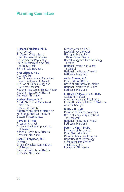# *Planning Committee*

#### **Richard Friedman, Ph.D.**

*Chairperson Professor of Psychiatry and Behavioral Science*  Department of Psychiatry State University of New York at Stony Brook Stony Brook, New York

**Fred Altman, Ph.D.**  *Acting Chief*  Basic Prevention and Behavioral Medicine Research Branch Division of Epidemiology and Services Research National Institute of Mental Health National Institutes of Health Bethesda, Maryland

#### **Herbert Benson, M.D.**

*Chief, Division of Behavioral Medicine*  Deaconess Hospital *Associate Professor of Medicine*  Mind/Body Medical Institute Boston, Massachusetts

**Jerry M. Elliott** 

*Program Analyst*  Office of Medical Applications of Research National Institutes of Health Bethesda, Maryland

**John H. Ferguson, M.D.**  *Director*  Office of Medical Applications of Research National Institutes of Health Bethesda, Maryland

Richard Gracely, Ph.D. *Research Psychologist*  Neuropathic and Pain Measurement Section Neurobiology and Anesthesiology Branch National Institute of Dental Research National Institutes of Health Bethesda, Maryland

**Anita Greene, M.A.**  *Public Affairs Officer*  Office of Alternative Medicine National Institutes of Health Bethesda, Maryland

**J. David Haddox, D.D.S., M.D.**  *Assistant Professor*  Anesthesiology and Psychiatry Emory University School of Medicine Atlanta, Georgia

**William H. Hall**  *Director of Communications*  Office of Medical Applications of Research National Institutes of Health Bethesda, Maryland

**Peter J. Hauri, Ph.D.**  *Professor of Psychology*  Mayo Medical School *Director, Insomnia Program*  Department of Psychology Sleep Disorders Center The Mayo Clinic Rochester, Minnesota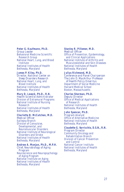#### **Peter G. Kaufmann, Ph.D.**

*Group Leader*  Behavioral Medicine Scientific Research Group National Heart, Lung, and Blood Institute National Institutes of Health Bethesda, Maryland

**James P. Kiley, Ph.D.**  *Director, National Center on Sleep Disorders Research*  National Heart, Lung, and Blood Institute National Institutes of Health Bethesda, Maryland

**Mary D. Leveck, Ph.D., R.N.**  *Health Scientist Administrator*  Division of Extramural Programs National Institute of Nursing Research National Institutes of Health Bethesda, Maryland

**Charlotte B. McCutchen, M.D.**  *Medical Officer*  Epilepsy Branch Division of Convulsive, Developmental, and Neuromuscular Disorders National Institute of Neurological Disorders and Stroke National Institutes of Health Bethesda, Maryland

**Andrew A. Monjan, Ph.D., M.P.H.**  *Chief, Neurobiology of Aging Program*  Neuroscience and Neuropsychology of Aging Program National Institute on Aging National Institutes of Health Bethesda, Maryland

#### **Stanley R. Pillemer, M.D.**  *Medical Officer*  Office of Prevention, Epidemiology, and Clinical Applications

National Institute of Arthritis and Musculoskeletal and Skin Diseases National Institutes of Health Bethesda, Maryland

#### **Julius Richmond, M.D.**

*Conference and Panel Chairperson The John D. MacArthur Professor of Health Policy Emeritus*  Department of Social Medicine Harvard Medical School Boston, Massachusetts

#### **Charles Sherman, Ph.D.**

*Deputy Director*  Office of Medical Applications of Research National Institutes of Health Bethesda, Maryland

#### **John Spencer, Ph.D.**  *Program Analyst*

Office of Alternative Medicine National Institutes of Health Bethesda, Maryland

**Claudette G. Varricchio, D.S.N., R.N.**  *Program Director*  Community Oncology and Rehabilitation Branch Division of Cancer Prevention and Control National Cancer Institute National Institutes of Health Bethesda, Maryland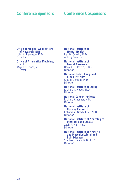# *Conference Sponsors Conference Cosponsors*

## **Office of Medical Applications of Research, NIH**

John H. Ferguson, M.D. *Director* 

**Office of Alternative Medicine, NIH**  Wayne B. Jonas, M.D.

*Director* 

**National Institute of Mental Health**  Rex W. Cowdry, M.D. *Acting Director* 

**National Institute of Dental Research**  Harold C. Slavkin, D.D.S. *Director* 

**National Heart, Lung, and Blood Institute**  Claude Lenfant, M.D. *Director* 

**National Institute on Aging**  Richard J. Hodes, M.D. *Director* 

**National Cancer Institute**  Richard Klausner, M.D. *Director* 

**National Institute of Nursing Research**  Patricia A. Grady, R.N., Ph.D. *Director* 

**National Institute of Neurological Disorders and Stroke**  Zach W. Hall, Ph.D. *Director* 

**National Institute of Arthritis and Musculoskeletal and Skin Diseases**  Stephen I. Katz, M.D., Ph.D. *Director*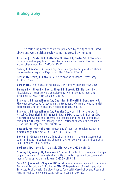# *Bibliography*

The following references were provided by the speakers listed above and were neither reviewed nor approved by the panel.

**Atkinson JH, Slater MA, Patterson TL, Grant I, Garfin SR.** Prevalence, onset, and risk of psychiatric disorders in men with chronic low back pain: a controlled study. *Pain* 1991;45:111–21.

**Beary JF, Benson H.** A simple psychophysiologic technique which elicits the relaxation response. *Psychosom Med* 1974;36:115–20.

**Benson H, Beary JF, Carol MP.** The relaxation response. *Psychiatry*  1974;37:37–46.

**Benson HB.** The relaxation response. New York: William Morrow, 1975.

**Berman BM, Singh BK, Lao L, Singh BB, Ferentz KS, Hartnoll SM.**  Physicians' attitudes toward complementary or alternative medicine: a regional survey. *JABP* 1995;8(5):361–6.

**Blanchard EB, Appelbaum KA, Guarnieri P, Morrill B, Dentinger MP.**  Five year prospective follow-up on the treatment of chronic headache with biofeedback and/or relaxation. *Headache* 1987;27:580–3.

**Blanchard EB, Appelbaum KA, Radnitz CL, Morrill B, Michultka D, Kirsch C, Guarnieri P, Hillhouse J, Evans DD, Jaccard J, Barron KD.**  A controlled evaluation of thermal biofeedback and thermal biofeedback combined with cognitive therapy in the treatment of vascular headache. *J Consult Clin Psychol* 1990;58:216–24.

**Bogaards MC, ter Kuile MM.** Treatment of recurrent tension headache: a meta-analytic review. *Clin J Pain* 1994;10:174–90.

**Bonica JJ.** General considerations of chronic pain in the management of pain (2nd ed.). In: Loeser JD, Chapman CR, Fordyce WE, eds. Philadelphia: Lea & Febiger, 1990. p. 180–2.

**Borkovec TD.** Insomnia. *J Consult Clin Psychol* 1982;50:880–95.

**Bradley LA, Young LD, Anderson KO, et al.** Effects of psychological therapy on pain behavior of rheumatoid arthritis patients: treatment outcome and sixmonth followup. *Arthritis Rheum* 1987;30:1105–14.

**Carr DB, Jacox AK, Chapman RC, et al.** Acute pain management. Guideline Technical Report, No. 1. Rockville, MD: US Department of Health and Human Services, Public Health Service, Agency for Health Care Policy and Research. AHCPR Publication No. 95-0034. February 1995. p. 107–59.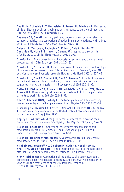**Caudill M, Schnable R, Zuttermeister P, Benson H, Friedman R.** Decreased clinic utilization by chronic pain patients: response to behavioral medicine intervention. *Clin J Pain* 1991;7:305–10.

**Chapman CR, Cox GB.** Anxiety, pain and depression surrounding elective surgery: a multivariate comparison of abdominal surgery patients with kidney donors and recipients. *J Psychosom Res* 1977;21:7–15.

**Coleman R, Zarcone V, Redington D, Miles L, Dole K, Perkins W, Gamanian M, More B, Stringer J, Dement W.** Sleep-wake disorders in a family practice clinic*. Sleep Resear*ch 1980;9:192.

**Crawford HJ**. Brain dynamics and hypnosis: attentional and disattentional processes. *Int J Clin Exp Hypn* 1994;42:204–32.

**Crawford HJ, Gruzelier JH**. A midstream view of the neuropsychophysiology of hypnosis: recent research and future directions. In: Fromm E, Nash MR, eds. Contemporary hypnosis research. New York: Guilford, 1992. p. 227–66.

**Crawford HJ, Gur RC, Skolnick B, Gur RE, Benson D.** Effects of hypnosis on regional cerebral blood flow during ischemic pain with and without suggested hypnotic analgesia. *Int J Psychophysiol* 1993;15:181–95.

**Cutler RB, Fishbain DA, Rosomoff HL, Abdel-Moty E, Khalil TM, Steele- Rosomoff R**. Does nonsurgical pain center treatment of chronic pain return patients to work? *Spine* 1994;19(6):643–52.

**Daan S, Beersma DGM, Borbély A.** The timing of human sleep: recovery process gated by a circadian pacemaker. *Am J Physiol* 1984;246:R161–78.

**Eisenberg DM, Kessler RC, Foster C, Norlock FE, Calkins DR, Delbanco TL.** Unconventional medicine in the United States. Prevalence, costs and patterns of use. *N Engl J Med* 1993.

**Eppley KR, Abrams AI, Shear** J. Differential effects of relaxation techniques on trait anxiety: a meta-analysis. *J Clin Psychol* 1989;45(6):957–74.

**Fields HL, Basbaum AI.** Central nervous system mechanisms of pain modulation. In: Wall PD, Melzack R, eds. Textbook of pain (3rd ed.). London: Churchill-Livingstone, 1994. p. 243–57.

**Fields HL, Heinricher MM, Mason P.** Neurotransmitters in nociceptive modulatory circuits. *Annu Rev Neurosci* 1991;14:219–45.

**Fishbain DA, Rosomoff HL, Goldberg M, Cutler R, Abdel-Moty E, Khalil TM, Steele-Rosomoff R**. The prediction of return to the workplace after multidisciplinary pain center treatment. *Clin J Pain* 1993;9:3–15.

**Flor H, Birbaumer N**. Comparison of the efficacy of electromyographic biofeedback, cognitive-behavioral therapy, and conservative medical interventions in the treatment of chronic musculoskeletal pain. *J Consult Clin Psychol* 1993;61:653–8.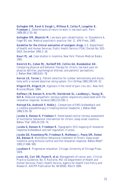**Gallagher RM, Rauh V, Haugh L, Milhous R, Callas P, Langelier R, Frymoyer J.** Determinants of return to work in low back pain. *Pain*  1989;39(1):55–68.

**Gallagher RM, Woznicki M.** Low back pain rehabilitation. In: Stoudemire A, Fogel BS, eds. Medical psychiatric practice (Vol. 2). APA Press, 1993.

**Guideline for the clinical evaluation of analgesic drugs.** U.S. Department of Health and Human Services, Public Health Service (FDA) Docket No. 91D-0425, December 1992;1–26.

**Hauri PJ, ed.** Case studies in insomina. New York: Plenum Medical Books, 1991.

**Heinrich RL, Cohen MJ, Naliboff BD, Collins GA, Bonebakker AD.**  Comparing physical and behavior therapy for chronic low back pain on physical abilities, psychological distress, and patients' perceptions. *J Behav Med* 1985;8:61–78.

**Herron LD. Turner J.** Patient selection for lumbar laminectomy and discectomy with a revised objective rating system. *Clin Orthop* 1985;199:145–52.

**Hilgard ER, Hilgard JR.** Hypnosis in the relief of pain (rev. ed.). New York: Brunner/Mazel, 1994.

**Hoffman JW, Benson H, Arns PA, Stainbrook GL, Landberg L, Young JB, Gill A.** Reduced sympathetic nervous system responsivity associated with the relaxation response. *Science* 1982;215:190–2.

**Holroyd KA, Andrasik F, Noble J.** Comparison of EMG biofeedback and a credible pseudotherapy in treating tension headache. *J Behav Med*  1980;3:29–39.

**Jacobs G, Benson H, Friedman** R. Home-based central nervous assessment of multifactor behavioral intervention for chronic sleep onset insomnia. *Behav Ther* 1993;24:159–74.

**Jacobs G, Benson H, Friedman R.** Topographic EEG mapping of relaxation response biofeedback and self regulation, in press.

**Jacobs GD, Rosenberg PA, Friedman R, Matheson J, Peavy GM, Domar AD, Benson H**. Multifactor behavioral treatment of chronic sleep-onset insomnia using stimulus control and the relaxation response. *Behav Modif*  1993;17:498–509.

**Jacobson E**. Progressive relaxation. Chicago: University of Chicago Press, 1929.

**Jacox AK, Carr DB, Payne R, et al.** Management of cancer pain. Clinical Practice Guideline, No. 9. Rockville, MD: US Department of Health and Human Services, Public Health Service, Agency for Health Care Policy and Research. AHCPR Publication No. 94-00592. March 1994.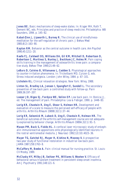**Jones BE.** Basic mechanisms of sleep-wake states. In: Kryger MH, Roth T, Dement WC, eds. Principles and practice of sleep medicine. Philadelphia: WB Saunders, 1994. p. 145–62.

**Kabat-Zinn J, Lipworth L, Burney R.** The clinical use of mindfulnessmeditation for the self-regulation of chronic pain. *J Behav Med*  1985;8(2):163–90.

**Kaplan RM.** Behavior as the central outcome in health care. *Am Psychol*  1990;45:1211–20.

**Keefe FJ, Caldwell DS, Williams DA, Gil KM, Mitchell D, Robertson D, Robertson C, Martinez S, Nunley J, Beckham JC, Helms M. Pain coping** skills training in the management of osteoarthritic knee pain: a comparative study. *Behav Ther* 1990;21:49–62.

LeBars D, Calvino B, Villanueva L, Cadden S. Physiological approaches to counter-irritation phenomena. In: Trickelbank MD, Curzon G, eds. Stress induced analgesia. London: John Wiley, 1984. p. 67–101.

**Lichstein KL.** Clinical relaxation strategies. New York: Wiley, 1988.

Linton SL, Bradley LA, Jensen I, Spangfort E, Sundell L. The secondary prevention of low back pain: a controlled study with follow-up. *Pain*  1989;36:197–207.

**Loeser JD, Bigos SJ, Fordyce WE, Volinn EP.** Low back pain. In: Bonica JJ, ed. The management of pain. Philadelphia: Lea & Febiger, 1990. p. 1448–83.

Lorig KR, Chastain R, Ung E, Shoor S, Holman HR. Development and evaluation of a scale to measure the perceived self-efficacy of people with arthritis. *Arthritis Rheum* 1989B;32(1):37–44.

**Lorig KR, Seleznick M, Lubeck D, Ung E, Chastain R, Holman HR.** The beneficial outcomes of the arthritis self-management course are not adequately explained by behavior change. *Arthritis Rheum* 1989A;32(1):91–5.

**Mason PM, Back S, Fields HL.** A confocal laser microscopic study of enkephalin immunoreactive appositions onto physiologically identified neurons in the rostral ventromedial medulla. *J Neurosci* 1992;12(10):4023–36.

**Mayer TG, Gatchel RJ, Mayer H, Kishino N, Mooney V.** A prospective two-year study of functional restoration in industrial low back pain. *JAMA* 1987;258:1763–8.

**McCaffery M, Beebe A.** Pain: clinical manual for nursing practice. St. Louis: CV Mosby, 1989.

**McClusky HY, Milby JB, Switzer PK, Williams V, Wooten V.** Efficacy of behavioral versus triazolam treatment in persistent sleep-onset insomnia. *Am J Psychiatry* 1991;148:121–6.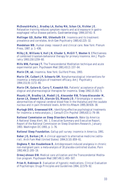**McDonald-Haile J, Bradley LA, Bailey MA, Schan CA, Richter JE.** 

Relaxation training reduces symptom reports and acid exposure in gastroesophageal reflux disease patients. *Gastroenterology* 1994;107:61–9.

**Mellinger GD, Balter MB, Uhlenhuth EH**. Insomnia and its treatment: prevalence and correlates. *Arch Gen Psychiatry* 1985;42:225–32.

**Mendelson WB.** Human sleep: research and clinical care. New York: Plenum Press, 1987. p. 1–436.

**Milby JB, Williams V, Hall JN, Khuder S, McGill T, Wooten V.** Effectiveness of combined triazolam-behavioral therapy for primary insomnia. *Am J Psychiatry* 1993;150:1259–60.

**Mills WW, Farrow JT.** The Transcendental Meditation technique and acute experimental pain. *Psychosom Med* 1981;43(2):157–64.

**Morin CM, ed.** Insomnia. New York: Guilford Press, 1993.

**Morin CM, Culbert JP, Schwartz SM.** Nonpharmacological interventions for insomnia: a meta-analysis of treatment efficacy. *Am J Psychiatry*  1994;151(8):1172–80.

**Morin CM, Galore B, Carry T, Kowatch RA.** Patients' acceptance of psychological and pharmacological therapies for insomnia. *Sleep* 1992;15:302–5.

**Mountz JM, Bradley LA, Modell JG, Alexander RW, Triana-Alexander M, Aaron LA, Stewart KE, Alarcón GS, Mountz JD.** Fibromyalgia in women: abnormalities of regional cerebral blood flow in the thalamus and the caudate nucleus and in pain threshold levels. *Arthritis Rheum* 1995;38:926–38.

**Murtagh DRR, Greenwood KM.** Identifying effective psychological treatments for insomnia: a meta-analysis. *J Consult Clin Psychol* 1995;63(1):79–89.

**National Commission on Sleep Disorders Research.** Wake Up America: A National Sleep Alert, Vol. 1. Executive Summary and Executive Report, Report of the National Commission on Sleep Disorders Research, January 1993. Washington DC:1993, p. 1–76.

**National Sleep Foundation.** Gallup poll survey: insomnia in America, 1991.

**Neher JO, Borkan JM.** A clinical approach to alternative medicine (editorial). *Arch Fam Med* (United States) 1994;3(10):859–61.

**Onghena P, Van Houdenhove B.** Antidepressant-induced analgesia in chronic non-malignant pain: a meta-analysis of 30 placebo-controlled studies. *Pain*   $1992:49(2):205-19.$ 

**Orme-Johnson DW.** Medical care utilization and the Transcendental Meditation program. *Psychosom Med* 1987;49(1):493–507.

**Prien R, Robinson D.** Evaluation of hypnotic medications. Clinical Evaluation of Psychotropic Drugs Principles and Guidelines 1994; 22:579–92.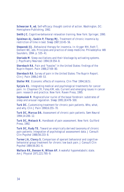**Schwarzer R, ed.** Self-efficacy: thought control of action. Washington, DC: Hemisphere Publishing, 1992.

**Smith JC.** Cognitive-behavioral relaxation training. New York: Springer, 1990.

**Spielman AJ, Saskin P, Thorpy MJ.** Treatment of chronic insomnia by restriction of time in bed. *Sleep* 1987;10:45–56.

**Stepanski EJ.** Behavioral therapy for insomnia. In: Kryger MH, Roth T, Dement WC, eds. Principles and practice of sleep medicine. Philadelphia: WB Saunders, 1994. p. 535–41.

**Steriade M**. Sleep oscillations and their blockage by activating systems. *J Psychiatry Neurosci* 1994;19:354–8.

**Sternbach RA.** Pain and "hassles" in the United States: findings of the Nuprin Report. *Pain* 1986;27:69–80.

**Sternbach RA**. Survey of pain in the United States: The Nuprin Report. *Clin J Pain* 1986;2:49–53.

**Stoller MK**. Economic effects of insomnia. *Clin Ther* 1994;16(5).

**Syrjala KL**. Integrating medical and psychological treatments for cancer pain. In: Chapman CR, Foley KM, eds. Current and emerging issues in cancer pain: research and practice. New York: Raven Press, 1995.

**Szymusiak R**. Magnocellular nuclei of the basal forebrain: substrates of sleep and arousal regulation. *Sleep* 1995;18:478–500.

**Turk DC.** Customizing treatment for chronic pain patients. Who, what, and why. *Clin J Pain* 1990;6:255–70.

**Turk DC, Marcus DA.** Assessment of chronic pain patients. *Sem Neurol*  1994;14:206–12.

Turk DC, Melzack R. Handbook of pain assessment. New York: Guilford Press, 1992.

**Turk DC, Rudy TE.** Toward an empirically derived taxonomy of chronic pain patients: integration of psychological asssessment data. *J Consult Clin Psychol* 1988;56:233–8.

**Turner JA, Clancy S.** Comparison of operant behavioral and cognitivebehavioral group treatment for chronic low back pain. *J Consult Clin Psychol* 1984;56:261–6.

**Wallace RK, Benson H, Wilson AF.** A wakeful hypometabolic state. *Am J Physiol* 1971;221:795–9.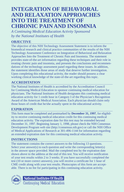# **INTEGRATION OF BEHAVIORAL AND RELAXATION APPROACHES INTO THE TREATMENT OF CHRONIC PAIN AND INSOMNIA**

*A Continuing Medical Education Activity Sponsored by the National Institutes of Health* 

# **OBJECTIVE**

The objective of this NIH Technology Assessment Statement is to inform the biomedical research and clinical practice communities of the results of the NIH Technology Assessment Conference on Integration of Behavioral and Relaxation Approaches Into the Treatment of Chronic Pain and Insomnia. The statement provides state-of-the-art information regarding these techniques and their role in treating chronic pain and insomnia, and presents the conclusions and recommendations of the technology assessment panel regarding these issues. In addition, the statement identifies those areas of study that deserve further investigation. Upon completing this educational activity, the reader should possess a clear working clinical knowledge of the state-of-the-art regarding this topic.

# **ACCREDITATION**

The National Institutes of Health is accredited by the Accreditation Council for Continuing Medical Education to sponsor continuing medical education for physicians. The National Institutes of Health designates this continuing medical education activity for 1 credit hour in Category I of the Physician's Recognition Award of the American Medical Association. Each physician should claim only those hours of credit that he/she actually spent in the educational activity.

# **EXPIRATION**

This form must be completed and postmarked by **December 31, 1997**, for eligibility to receive continuing medical education credit for this continuing medical education activity. The expiration date for this test may be extended beyond December 31, 1997. Beginning January 1, 1998, please check the NIH Consensus Development Program web site (http://consensus.nih.gov) or call the NIH Office of Medical Applications of Research at 301-496-1144 for information regarding an extended expiration date for this continuing medical education activity.

# **INSTRUCTIONS**

The statement contains the correct answers to the following 13 questions. Select your answer(s) to each question and write the corresponding letter(s) in the answer space provided. Mail the completed test by the expiration date shown above to the address at the end of this test. You will receive notification of your test results within 2 to 3 weeks. If you have successfully completed the test (10 or more correct answers), you will receive a certificate for 1 hour of CME credit along with your test results. Photocopies of this form are acceptable. There is no fee for participating in this continuing education activity.



**National Institutes Of Health**  Continuying Medical Education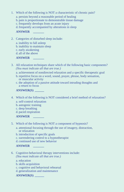- 1. Which of the following is NOT a characteristic of chronic pain?
	- a. persists beyond a reasonable period of healing
	- b. pain is proportionate to demonstrable tissue damage
	- c. frequently develops from an acute injury
	- d. frequently accompanied by alterations in sleep

# **ANSWER \_\_\_\_\_\_\_**

- 2. Categories of disturbed sleep include:
	- a. inability to fall asleep
	- b. inability to maintain sleep
	- c. early awakening
	- d. all of the above

# **ANSWER \_\_\_\_\_\_\_**

- 3. All relaxation techniques share which of the following basic components? *(You must indicate all that are true.)* 
	- a. achievement of nondirected relaxation and a specific therapeutic goal
	- b. repetitive focus on a word, sound, prayer, phrase, body sensation, or muscular activity
	- c. the adoption of a passive attitude toward intruding thoughts and a return to focus

# **ANSWER(S) \_\_\_\_\_\_**

- 4. Which of the following is NOT considered a brief method of relaxation?
	- a. self-control relaxation
	- b. autogenic training
	- c. deep breathing
	- d. paced respiration

**ANSWER \_\_\_\_\_\_\_** 

- 5. Which of the following is NOT a component of hypnosis?
	- a. attentional focusing through the use of imagery, distraction, or relaxation
	- b. introduction of specific goals
	- c. surrendering control to a hypnotherapist
	- d. continued use of new behavior

# **ANSWER \_\_\_\_\_\_\_**

- 6. Cognitive-behavioral therapy interventions include: *(You must indicate all that are true.)* 
	- a. education
	- b. skills acquisition
	- c. cognitive and behavioral rehearsal
	- d. generalization and maintenance

**ANSWER(S) \_\_\_\_\_\_**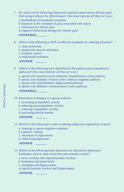- 7. For which of the following behavioral medicine interventions did the panel find strong evidence for effectiveness? *(You must indicate all that are true.)* 
	- a. biofeedback for headache treatment
	- b. hypnosis in the treatment of pain associated with cancer
	- c. relaxation for chronic pain
	- d. cognitive-behavioral therapy for chronic pain

# **ANSWER(S) \_\_\_\_\_\_**

- 8. Which of the following is NOT an effective treatment for reducing insomnia?
	- a. sleep restriction
	- b. progressive muscle relaxation
	- c. stimulus control
	- d. multimodal treatment

# **ANSWER \_\_\_\_\_\_\_**

- 9. Which of the following were identified by the panel as pain transmission pathways? *(You must indicate all that are true.)* 
	- a. spinal cord–nucleus tractus solitarius–hypothalamic cortex pathway
	- b. spinal cord–thalamic–frontal cortex–anterior cingulate pathway
	- c. spinal cord–hypothalamus–hippocampal pathway
	- d. spinal cord–thalamic–somatosensory cortex pathway

# **ANSWER(S) \_\_\_\_\_\_**

- 10. Relaxation techniques as a group work by:
	- a. increasing sympathetic activity
	- b. reducing parasympathetic activity
	- c. reducing sympathetic activity
	- d. increasing muscle tension

# **ANSWER \_\_\_\_\_\_\_**

- 11. Which of the following is a key to altering subjective experiences of pain?
	- a. learning to repress negative emotions
	- b. cathartic venting
	- c. alteration of expectations
	- d. redirecting depression

# **ANSWER \_\_\_\_\_\_\_**

- 12. Which of the following brain structures are affected by behavioral techniques such as sleep restriction and stimulus control?
	- a. locus ceruleus and suprachiasmatic nucleus
	- b. brainstem and pineal body
	- c. amygdala and hippocampus
	- d. suprachiasmatic nucleus and hippocampus

# **ANSWER \_\_\_\_\_\_\_**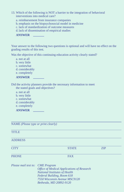13. Which of the following is NOT a barrier to the integration of behavioral interventions into medical care?

a. reimbursement from insurance companies

b. emphasis on the biopsychosocial model in medicine

c. lack of standardization of outcome measures

d. lack of dissemination of empirical studies

Your answer to the following two questions is optional and will have no effect on the grading results of this test.

Was the objective of this continuing education activity clearly stated?

a. not at all

b. very little

c. somewhat

d. considerably e. completely

**ANSWER \_\_\_\_\_\_\_** 

Did the activity planners provide the necessary information to meet the stated goals and objectives?

- a. not at all b. very little
- c. somewhat
- d. considerably
- e. completely

**ANSWER \_\_\_\_\_\_\_** 

| <b>NAME</b> ( <i>Please type or print clearly</i> ) |                                                                                                                         |              |            |  |
|-----------------------------------------------------|-------------------------------------------------------------------------------------------------------------------------|--------------|------------|--|
| TITLE                                               |                                                                                                                         |              |            |  |
| <b>ADDRESS</b>                                      |                                                                                                                         |              |            |  |
| <b>CITY</b>                                         |                                                                                                                         | <b>STATE</b> | <b>ZIP</b> |  |
| <b>PHONE</b>                                        |                                                                                                                         | <b>FAX</b>   |            |  |
| Please mail test to: CME Program                    | <b>Office of Medical Applications of Research</b><br><b>National Institutes of Health</b><br>Federal Building, Room 618 |              |            |  |

*7550 Wisconsin Avenue MSC9120* 

*Bethesda, MD 20892-9120*